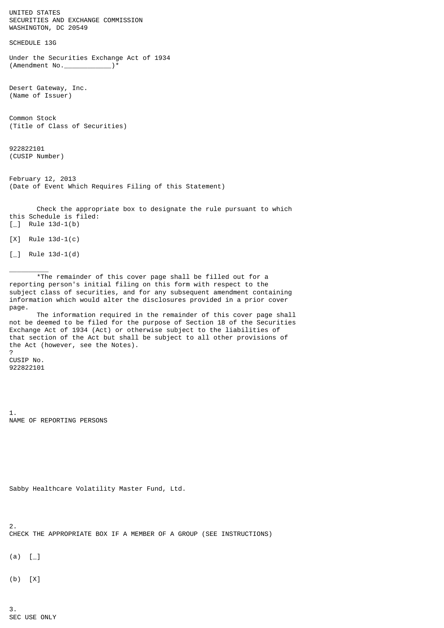UNITED STATES SECURITIES AND EXCHANGE COMMISSION WASHINGTON, DC 20549 SCHEDULE 13G Under the Securities Exchange Act of 1934 (Amendment No. \_\_\_\_\_\_\_\_\_\_\_\_\_\_\_)\* Desert Gateway, Inc. (Name of Issuer) Common Stock (Title of Class of Securities) 922822101 (CUSIP Number) February 12, 2013 (Date of Event Which Requires Filing of this Statement) Check the appropriate box to designate the rule pursuant to which this Schedule is filed:  $[-]$  Rule 13d-1(b) [X] Rule 13d-1(c)  $[\ ]$  Rule 13d-1(d)  $\overline{\phantom{a}}$  \*The remainder of this cover page shall be filled out for a reporting person's initial filing on this form with respect to the

subject class of securities, and for any subsequent amendment containing information which would alter the disclosures provided in a prior cover page. The information required in the remainder of this cover page shall

not be deemed to be filed for the purpose of Section 18 of the Securities Exchange Act of 1934 (Act) or otherwise subject to the liabilities of that section of the Act but shall be subject to all other provisions of the Act (however, see the Notes).

CUSIP No. 922822101

?

1. NAME OF REPORTING PERSONS

```
Sabby Healthcare Volatility Master Fund, Ltd.
```
2. CHECK THE APPROPRIATE BOX IF A MEMBER OF A GROUP (SEE INSTRUCTIONS)

 $(a)$  [ $_{\_}$ ]

(b) [X]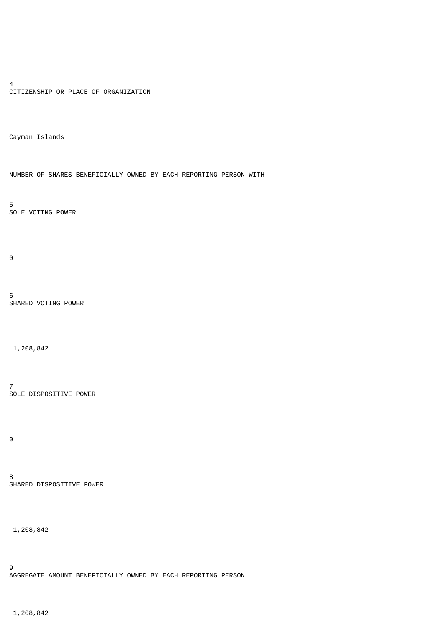4. CITIZENSHIP OR PLACE OF ORGANIZATION

Cayman Islands

NUMBER OF SHARES BENEFICIALLY OWNED BY EACH REPORTING PERSON WITH

5. SOLE VOTING POWER

0

6. SHARED VOTING POWER

1,208,842

7. SOLE DISPOSITIVE POWER

 $\Theta$ 

8. SHARED DISPOSITIVE POWER

1,208,842

9. AGGREGATE AMOUNT BENEFICIALLY OWNED BY EACH REPORTING PERSON

1,208,842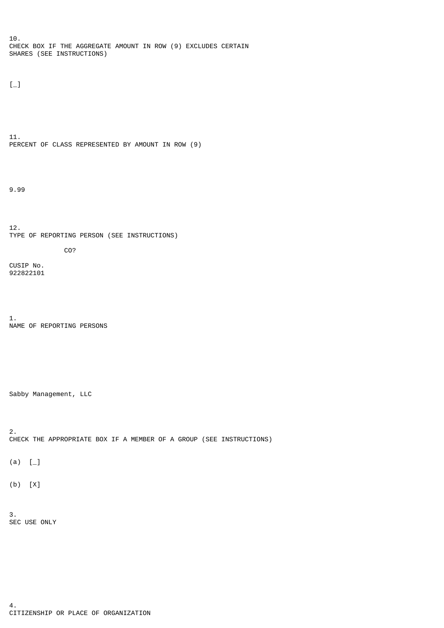10. CHECK BOX IF THE AGGREGATE AMOUNT IN ROW (9) EXCLUDES CERTAIN SHARES (SEE INSTRUCTIONS)

 $[-]$ 

11. PERCENT OF CLASS REPRESENTED BY AMOUNT IN ROW (9)

9.99

12. TYPE OF REPORTING PERSON (SEE INSTRUCTIONS)

CUSIP No. 922822101

1. NAME OF REPORTING PERSONS

CO?

Sabby Management, LLC

2. CHECK THE APPROPRIATE BOX IF A MEMBER OF A GROUP (SEE INSTRUCTIONS)

 $(a)$   $[-]$ 

(b) [X]

3. SEC USE ONLY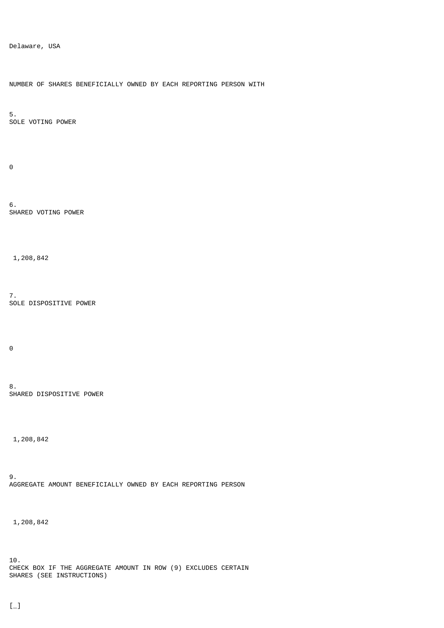Delaware, USA

NUMBER OF SHARES BENEFICIALLY OWNED BY EACH REPORTING PERSON WITH

5. SOLE VOTING POWER

 $\Theta$ 

6. SHARED VOTING POWER

1,208,842

7. SOLE DISPOSITIVE POWER

 $\Theta$ 

8. SHARED DISPOSITIVE POWER

1,208,842

9. AGGREGATE AMOUNT BENEFICIALLY OWNED BY EACH REPORTING PERSON

1,208,842

10. CHECK BOX IF THE AGGREGATE AMOUNT IN ROW (9) EXCLUDES CERTAIN SHARES (SEE INSTRUCTIONS)

 $[-]$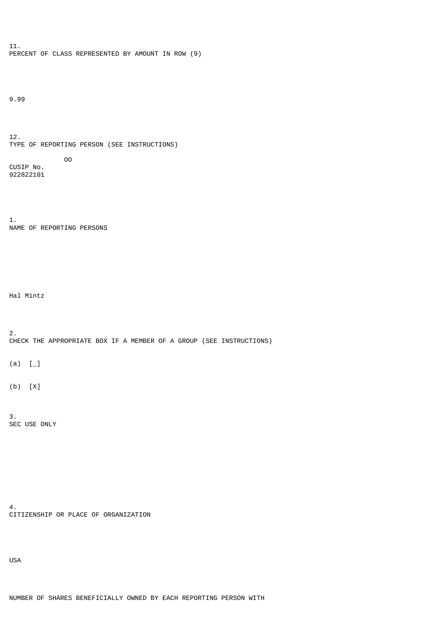11. PERCENT OF CLASS REPRESENTED BY AMOUNT IN ROW (9)

9.99

12. TYPE OF REPORTING PERSON (SEE INSTRUCTIONS) OO CUSIP No.

1. NAME OF REPORTING PERSONS

Hal Mintz

922822101

2. CHECK THE APPROPRIATE BOX IF A MEMBER OF A GROUP (SEE INSTRUCTIONS)

 $(a)$   $[-]$ 

(b) [X]

3. SEC USE ONLY

4. CITIZENSHIP OR PLACE OF ORGANIZATION

USA

NUMBER OF SHARES BENEFICIALLY OWNED BY EACH REPORTING PERSON WITH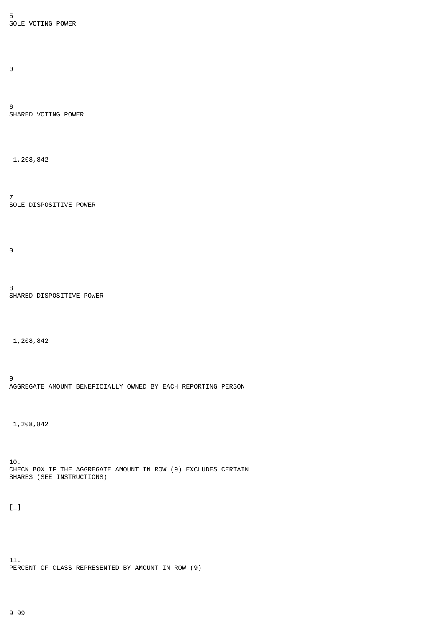5. SOLE VOTING POWER

 $\Theta$ 

6. SHARED VOTING POWER

1,208,842

7. SOLE DISPOSITIVE POWER

 $\Theta$ 

8. SHARED DISPOSITIVE POWER

1,208,842

9. AGGREGATE AMOUNT BENEFICIALLY OWNED BY EACH REPORTING PERSON

1,208,842

10. CHECK BOX IF THE AGGREGATE AMOUNT IN ROW (9) EXCLUDES CERTAIN SHARES (SEE INSTRUCTIONS)

 $[-]$ 

11. PERCENT OF CLASS REPRESENTED BY AMOUNT IN ROW (9)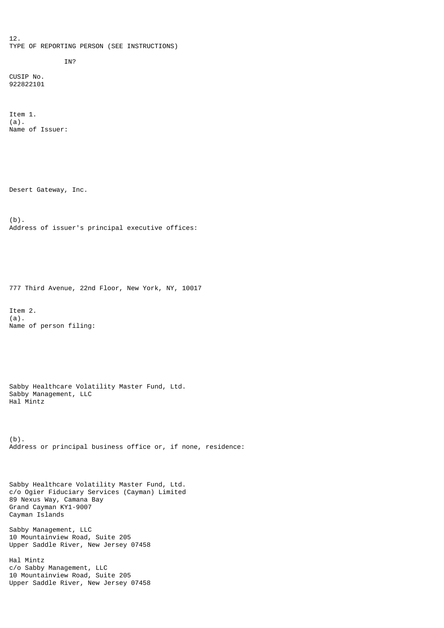12. TYPE OF REPORTING PERSON (SEE INSTRUCTIONS)

## IN?

CUSIP No. 922822101

Item 1. (a). Name of Issuer:

Desert Gateway, Inc.

(b). Address of issuer's principal executive offices:

777 Third Avenue, 22nd Floor, New York, NY, 10017

Item 2. (a). Name of person filing:

Sabby Healthcare Volatility Master Fund, Ltd. Sabby Management, LLC Hal Mintz

(b). Address or principal business office or, if none, residence:

Sabby Healthcare Volatility Master Fund, Ltd. c/o Ogier Fiduciary Services (Cayman) Limited 89 Nexus Way, Camana Bay Grand Cayman KY1-9007 Cayman Islands

Sabby Management, LLC 10 Mountainview Road, Suite 205 Upper Saddle River, New Jersey 07458

Hal Mintz c/o Sabby Management, LLC 10 Mountainview Road, Suite 205 Upper Saddle River, New Jersey 07458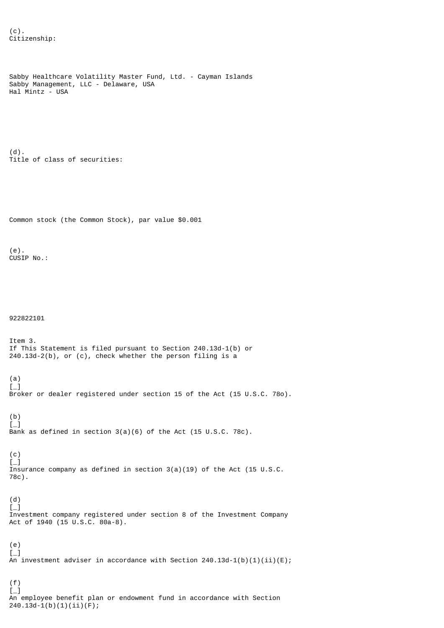```
Sabby Healthcare Volatility Master Fund, Ltd. - Cayman Islands
Sabby Management, LLC - Delaware, USA
Hal Mintz - USA
(d).
Title of class of securities:
Common stock (the Common Stock), par value $0.001
(e).
CUSIP No.:
922822101
Item 3.
If This Statement is filed pursuant to Section 240.13d-1(b) or
240.13d-2(b), or (c), check whether the person filing is a
(a)
\left[\begin{matrix} -1 \end{matrix}\right]Broker or dealer registered under section 15 of the Act (15 U.S.C. 78o).
(b)
\lbrack -]Bank as defined in section 3(a)(6) of the Act (15 U.S.C. 78c).
(c)\lceil \_Insurance company as defined in section 3(a)(19) of the Act (15 U.S.C.
78c).
(d)
\left[\begin{matrix} -1 \end{matrix}\right]Investment company registered under section 8 of the Investment Company
Act of 1940 (15 U.S.C. 80a-8).
(e)
\left[\begin{smallmatrix}1\\1\end{smallmatrix}\right]An investment adviser in accordance with Section 240.13d-1(b)(1)(ii)(E);
(f)
[-]An employee benefit plan or endowment fund in accordance with Section
240.13d-1(b)(1)(ii)(F);
```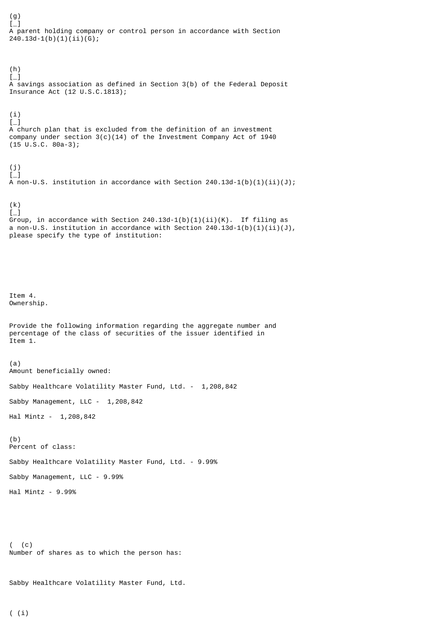(g)  $\left[\begin{smallmatrix}1\\1\end{smallmatrix}\right]$ A parent holding company or control person in accordance with Section  $240.13d-1(b)(1)(ii)(G);$ (h)  $[-]$ A savings association as defined in Section 3(b) of the Federal Deposit Insurance Act (12 U.S.C.1813); (i)  $[-]$ A church plan that is excluded from the definition of an investment company under section  $3(c)(14)$  of the Investment Company Act of 1940 (15 U.S.C. 80a-3); (j)  $[-]$ A non-U.S. institution in accordance with Section  $240.13d-1(b)(1)(ii)(J);$ (k)  $\left[\begin{smallmatrix}1\\1\end{smallmatrix}\right]$ Group, in accordance with Section 240.13d-1(b)(1)(ii)(K). If filing as a non-U.S. institution in accordance with Section  $240.13d-1(b)(1)(ii)(J)$ , please specify the type of institution: Item 4. Ownership. Provide the following information regarding the aggregate number and percentage of the class of securities of the issuer identified in Item 1. (a) Amount beneficially owned: Sabby Healthcare Volatility Master Fund, Ltd. - 1,208,842 Sabby Management, LLC - 1,208,842 Hal Mintz - 1,208,842 (b) Percent of class: Sabby Healthcare Volatility Master Fund, Ltd. - 9.99% Sabby Management, LLC - 9.99% Hal Mintz - 9.99%

( (c) Number of shares as to which the person has:

Sabby Healthcare Volatility Master Fund, Ltd.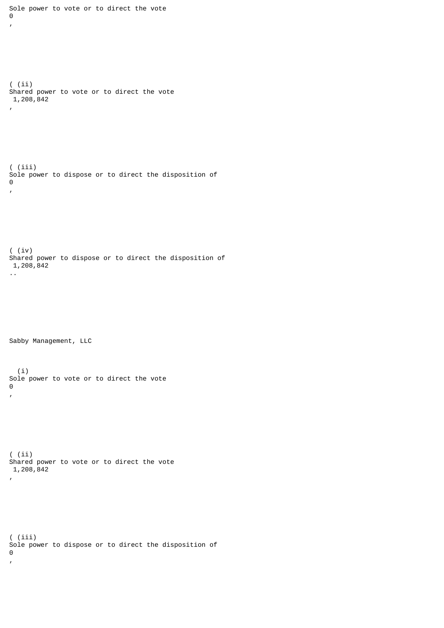```
\Theta,
( (ii)
Shared power to vote or to direct the vote
 1,208,842
,
( (iii)
Sole power to dispose or to direct the disposition of
\Theta,
( (iv)
Shared power to dispose or to direct the disposition of
 1,208,842
..
Sabby Management, LLC
   (i)
Sole power to vote or to direct the vote
\Theta,
( (ii)
Shared power to vote or to direct the vote
 1,208,842
,
( (iii)
Sole power to dispose or to direct the disposition of
\Theta,
```
Sole power to vote or to direct the vote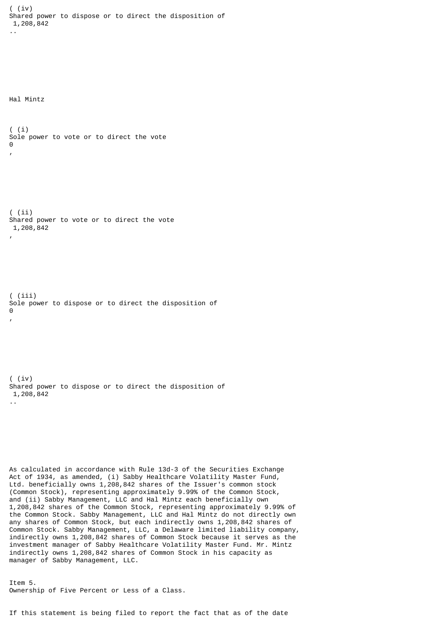( (iv) Shared power to dispose or to direct the disposition of 1,208,842 .. Hal Mintz ( (i) Sole power to vote or to direct the vote  $\Theta$ , ( (ii) Shared power to vote or to direct the vote 1,208,842 , ( (iii) Sole power to dispose or to direct the disposition of  $\boldsymbol{\Theta}$ , ( (iv) Shared power to dispose or to direct the disposition of 1,208,842 .. As calculated in accordance with Rule 13d-3 of the Securities Exchange Act of 1934, as amended, (i) Sabby Healthcare Volatility Master Fund, Ltd. beneficially owns 1,208,842 shares of the Issuer's common stock (Common Stock), representing approximately 9.99% of the Common Stock, and (ii) Sabby Management, LLC and Hal Mintz each beneficially own 1,208,842 shares of the Common Stock, representing approximately 9.99% of the Common Stock. Sabby Management, LLC and Hal Mintz do not directly own any shares of Common Stock, but each indirectly owns 1,208,842 shares of Common Stock. Sabby Management, LLC, a Delaware limited liability company, indirectly owns 1,208,842 shares of Common Stock because it serves as the investment manager of Sabby Healthcare Volatility Master Fund. Mr. Mintz indirectly owns 1,208,842 shares of Common Stock in his capacity as manager of Sabby Management, LLC.

Item 5. Ownership of Five Percent or Less of a Class.

If this statement is being filed to report the fact that as of the date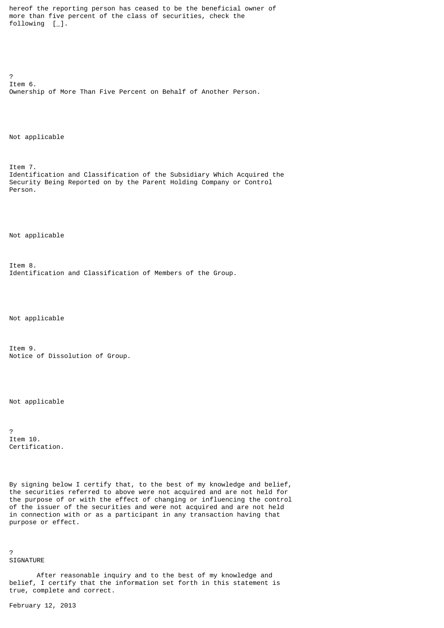hereof the reporting person has ceased to be the beneficial owner of more than five percent of the class of securities, check the following [\_].

? Item 6. Ownership of More Than Five Percent on Behalf of Another Person.

Not applicable

Item 7. Identification and Classification of the Subsidiary Which Acquired the Security Being Reported on by the Parent Holding Company or Control Person.

Not applicable

Item 8. Identification and Classification of Members of the Group.

Not applicable

Item 9. Notice of Dissolution of Group.

Not applicable

? Item 10. Certification.

By signing below I certify that, to the best of my knowledge and belief, the securities referred to above were not acquired and are not held for the purpose of or with the effect of changing or influencing the control of the issuer of the securities and were not acquired and are not held in connection with or as a participant in any transaction having that purpose or effect.

SIGNATURE

?

 After reasonable inquiry and to the best of my knowledge and belief, I certify that the information set forth in this statement is true, complete and correct.

February 12, 2013